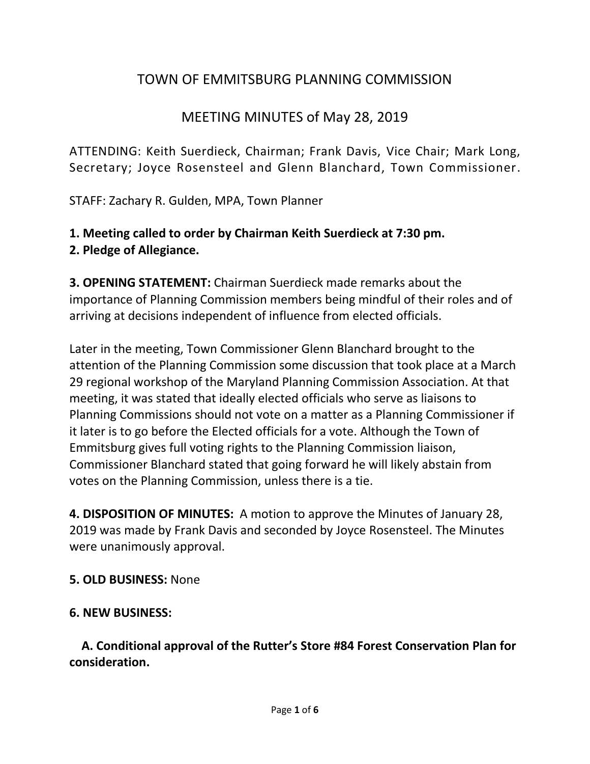# TOWN OF EMMITSBURG PLANNING COMMISSION

### MEETING MINUTES of May 28, 2019

ATTENDING: Keith Suerdieck, Chairman; Frank Davis, Vice Chair; Mark Long, Secretary; Joyce Rosensteel and Glenn Blanchard, Town Commissioner.

STAFF: Zachary R. Gulden, MPA, Town Planner

# **1. Meeting called to order by Chairman Keith Suerdieck at 7:30 pm.**

**2. Pledge of Allegiance.** 

**3. OPENING STATEMENT:** Chairman Suerdieck made remarks about the importance of Planning Commission members being mindful of their roles and of arriving at decisions independent of influence from elected officials.

Later in the meeting, Town Commissioner Glenn Blanchard brought to the attention of the Planning Commission some discussion that took place at a March 29 regional workshop of the Maryland Planning Commission Association. At that meeting, it was stated that ideally elected officials who serve as liaisons to Planning Commissions should not vote on a matter as a Planning Commissioner if it later is to go before the Elected officials for a vote. Although the Town of Emmitsburg gives full voting rights to the Planning Commission liaison, Commissioner Blanchard stated that going forward he will likely abstain from votes on the Planning Commission, unless there is a tie.

**4. DISPOSITION OF MINUTES:** A motion to approve the Minutes of January 28, 2019 was made by Frank Davis and seconded by Joyce Rosensteel. The Minutes were unanimously approval.

#### **5. OLD BUSINESS:** None

#### **6. NEW BUSINESS:**

 **A. Conditional approval of the Rutter's Store #84 Forest Conservation Plan for consideration.**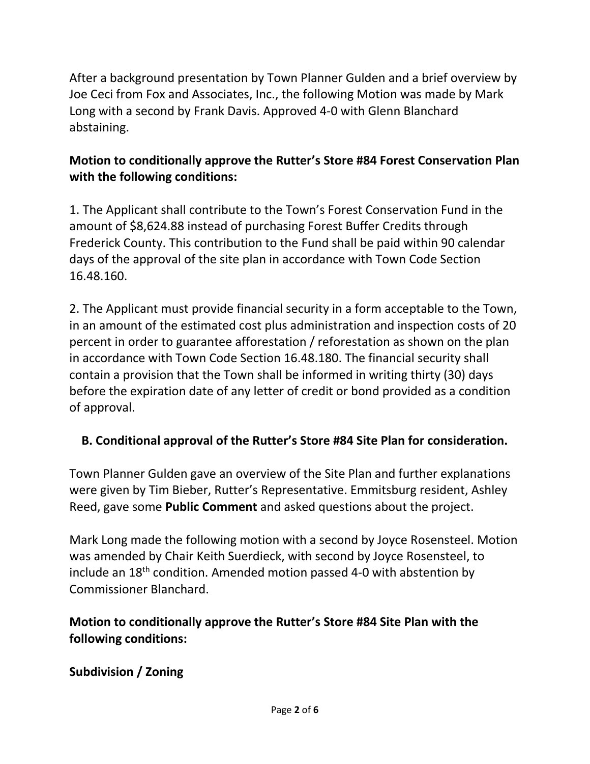After a background presentation by Town Planner Gulden and a brief overview by Joe Ceci from Fox and Associates, Inc., the following Motion was made by Mark Long with a second by Frank Davis. Approved 4-0 with Glenn Blanchard abstaining.

#### **Motion to conditionally approve the Rutter's Store #84 Forest Conservation Plan with the following conditions:**

1. The Applicant shall contribute to the Town's Forest Conservation Fund in the amount of \$8,624.88 instead of purchasing Forest Buffer Credits through Frederick County. This contribution to the Fund shall be paid within 90 calendar days of the approval of the site plan in accordance with Town Code Section 16.48.160.

2. The Applicant must provide financial security in a form acceptable to the Town, in an amount of the estimated cost plus administration and inspection costs of 20 percent in order to guarantee afforestation / reforestation as shown on the plan in accordance with Town Code Section 16.48.180. The financial security shall contain a provision that the Town shall be informed in writing thirty (30) days before the expiration date of any letter of credit or bond provided as a condition of approval.

#### **B. Conditional approval of the Rutter's Store #84 Site Plan for consideration.**

Town Planner Gulden gave an overview of the Site Plan and further explanations were given by Tim Bieber, Rutter's Representative. Emmitsburg resident, Ashley Reed, gave some **Public Comment** and asked questions about the project.

Mark Long made the following motion with a second by Joyce Rosensteel. Motion was amended by Chair Keith Suerdieck, with second by Joyce Rosensteel, to include an  $18<sup>th</sup>$  condition. Amended motion passed 4-0 with abstention by Commissioner Blanchard.

#### **Motion to conditionally approve the Rutter's Store #84 Site Plan with the following conditions:**

#### **Subdivision / Zoning**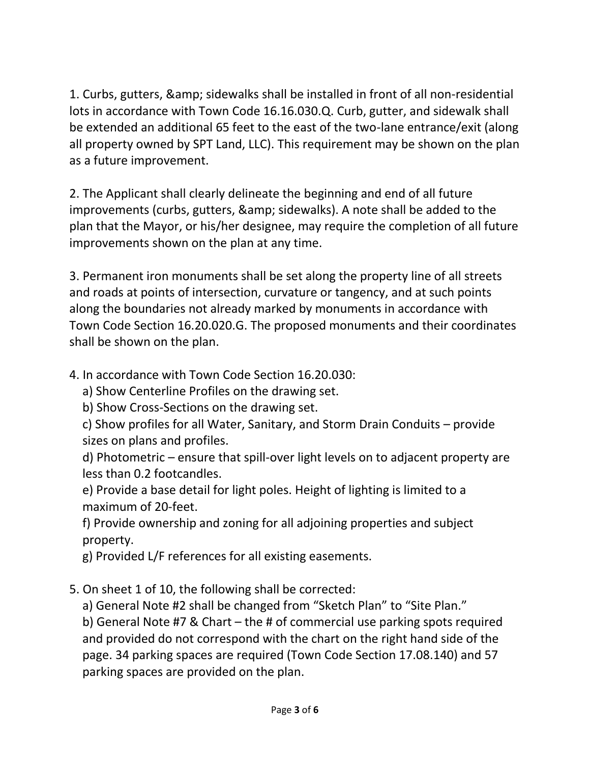1. Curbs, gutters, & amp; sidewalks shall be installed in front of all non-residential lots in accordance with Town Code 16.16.030.Q. Curb, gutter, and sidewalk shall be extended an additional 65 feet to the east of the two-lane entrance/exit (along all property owned by SPT Land, LLC). This requirement may be shown on the plan as a future improvement.

2. The Applicant shall clearly delineate the beginning and end of all future improvements (curbs, gutters, & amp; sidewalks). A note shall be added to the plan that the Mayor, or his/her designee, may require the completion of all future improvements shown on the plan at any time.

3. Permanent iron monuments shall be set along the property line of all streets and roads at points of intersection, curvature or tangency, and at such points along the boundaries not already marked by monuments in accordance with Town Code Section 16.20.020.G. The proposed monuments and their coordinates shall be shown on the plan.

- 4. In accordance with Town Code Section 16.20.030:
	- a) Show Centerline Profiles on the drawing set.
	- b) Show Cross-Sections on the drawing set.
	- c) Show profiles for all Water, Sanitary, and Storm Drain Conduits provide sizes on plans and profiles.

d) Photometric – ensure that spill-over light levels on to adjacent property are less than 0.2 footcandles.

e) Provide a base detail for light poles. Height of lighting is limited to a maximum of 20-feet.

f) Provide ownership and zoning for all adjoining properties and subject property.

- g) Provided L/F references for all existing easements.
- 5. On sheet 1 of 10, the following shall be corrected:
	- a) General Note #2 shall be changed from "Sketch Plan" to "Site Plan."

b) General Note #7 & Chart – the # of commercial use parking spots required and provided do not correspond with the chart on the right hand side of the page. 34 parking spaces are required (Town Code Section 17.08.140) and 57 parking spaces are provided on the plan.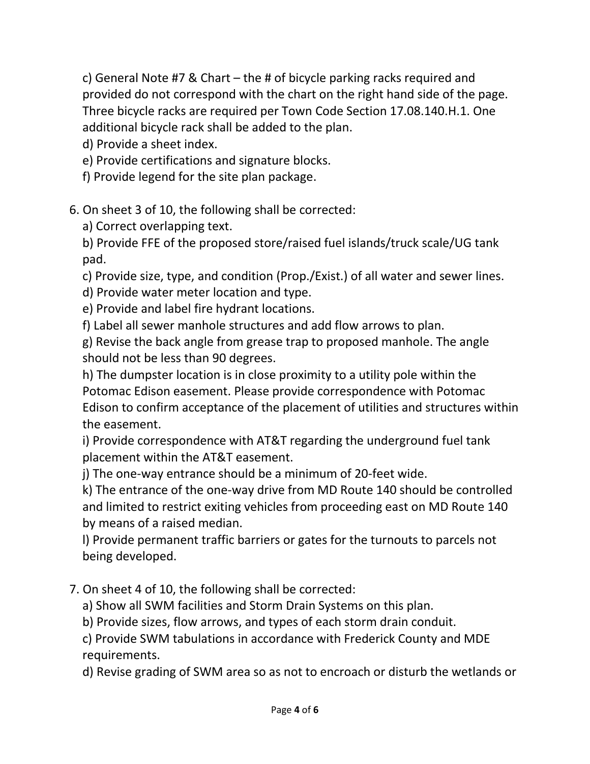c) General Note #7 & Chart – the # of bicycle parking racks required and provided do not correspond with the chart on the right hand side of the page. Three bicycle racks are required per Town Code Section 17.08.140.H.1. One additional bicycle rack shall be added to the plan.

d) Provide a sheet index.

- e) Provide certifications and signature blocks.
- f) Provide legend for the site plan package.

# 6. On sheet 3 of 10, the following shall be corrected:

a) Correct overlapping text.

b) Provide FFE of the proposed store/raised fuel islands/truck scale/UG tank pad.

c) Provide size, type, and condition (Prop./Exist.) of all water and sewer lines.

d) Provide water meter location and type.

- e) Provide and label fire hydrant locations.
- f) Label all sewer manhole structures and add flow arrows to plan.

g) Revise the back angle from grease trap to proposed manhole. The angle should not be less than 90 degrees.

h) The dumpster location is in close proximity to a utility pole within the Potomac Edison easement. Please provide correspondence with Potomac Edison to confirm acceptance of the placement of utilities and structures within the easement.

i) Provide correspondence with AT&T regarding the underground fuel tank placement within the AT&T easement.

j) The one-way entrance should be a minimum of 20-feet wide.

k) The entrance of the one-way drive from MD Route 140 should be controlled and limited to restrict exiting vehicles from proceeding east on MD Route 140 by means of a raised median.

l) Provide permanent traffic barriers or gates for the turnouts to parcels not being developed.

- 7. On sheet 4 of 10, the following shall be corrected:
	- a) Show all SWM facilities and Storm Drain Systems on this plan.
	- b) Provide sizes, flow arrows, and types of each storm drain conduit.

c) Provide SWM tabulations in accordance with Frederick County and MDE requirements.

d) Revise grading of SWM area so as not to encroach or disturb the wetlands or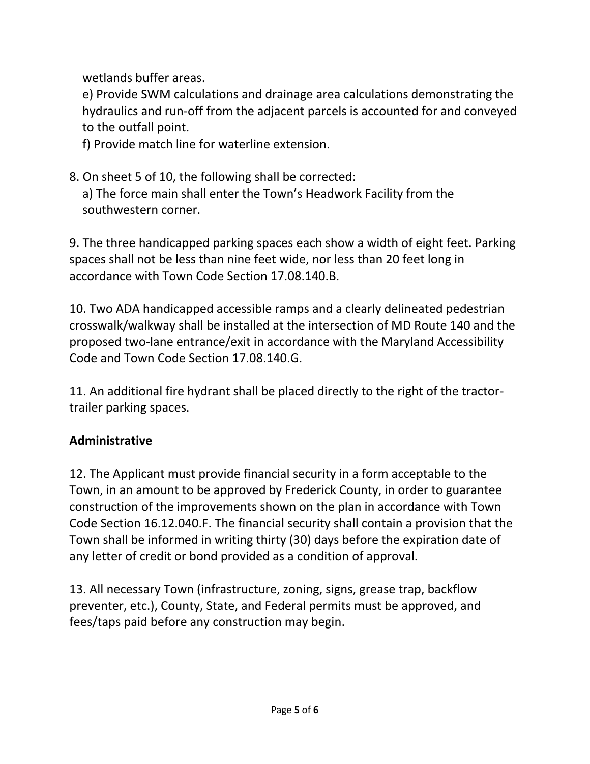wetlands buffer areas.

e) Provide SWM calculations and drainage area calculations demonstrating the hydraulics and run-off from the adjacent parcels is accounted for and conveyed to the outfall point.

f) Provide match line for waterline extension.

8. On sheet 5 of 10, the following shall be corrected: a) The force main shall enter the Town's Headwork Facility from the southwestern corner.

9. The three handicapped parking spaces each show a width of eight feet. Parking spaces shall not be less than nine feet wide, nor less than 20 feet long in accordance with Town Code Section 17.08.140.B.

10. Two ADA handicapped accessible ramps and a clearly delineated pedestrian crosswalk/walkway shall be installed at the intersection of MD Route 140 and the proposed two-lane entrance/exit in accordance with the Maryland Accessibility Code and Town Code Section 17.08.140.G.

11. An additional fire hydrant shall be placed directly to the right of the tractortrailer parking spaces.

#### **Administrative**

12. The Applicant must provide financial security in a form acceptable to the Town, in an amount to be approved by Frederick County, in order to guarantee construction of the improvements shown on the plan in accordance with Town Code Section 16.12.040.F. The financial security shall contain a provision that the Town shall be informed in writing thirty (30) days before the expiration date of any letter of credit or bond provided as a condition of approval.

13. All necessary Town (infrastructure, zoning, signs, grease trap, backflow preventer, etc.), County, State, and Federal permits must be approved, and fees/taps paid before any construction may begin.